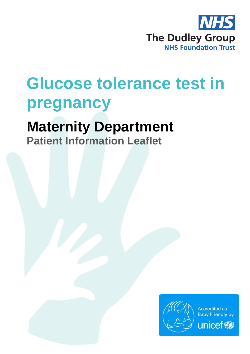

# **Glucose tolerance test in pregnancy**

## **Maternity Department**

**Patient Information Leaflet**

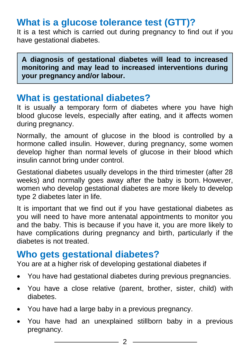## **What is a glucose tolerance test (GTT)?**

It is a test which is carried out during pregnancy to find out if you have gestational diabetes.

**A diagnosis of gestational diabetes will lead to increased monitoring and may lead to increased interventions during your pregnancy and/or labour.**

#### **What is gestational diabetes?**

It is usually a temporary form of diabetes where you have high blood glucose levels, especially after eating, and it affects women during pregnancy.

Normally, the amount of glucose in the blood is controlled by a hormone called insulin. However, during pregnancy, some women develop higher than normal levels of glucose in their blood which insulin cannot bring under control.

Gestational diabetes usually develops in the third trimester (after 28 weeks) and normally goes away after the baby is born. However, women who develop gestational diabetes are more likely to develop type 2 diabetes later in life.

It is important that we find out if you have gestational diabetes as you will need to have more antenatal appointments to monitor you and the baby. This is because if you have it, you are more likely to have complications during pregnancy and birth, particularly if the diabetes is not treated.

#### **Who gets gestational diabetes?**

You are at a higher risk of developing gestational diabetes if

- You have had gestational diabetes during previous pregnancies.
- You have a close relative (parent, brother, sister, child) with diabetes.
- You have had a large baby in a previous pregnancy.
- You have had an unexplained stillborn baby in a previous pregnancy.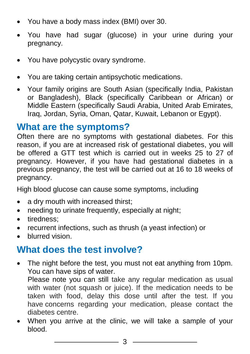- You have a body mass index (BMI) over 30.
- You have had sugar (glucose) in your urine during your pregnancy.
- You have polycystic ovary syndrome.
- You are taking certain antipsychotic medications.
- Your family origins are South Asian (specifically India, Pakistan or Bangladesh), Black (specifically Caribbean or African) or Middle Eastern (specifically Saudi Arabia, United Arab Emirates, Iraq, Jordan, Syria, Oman, Qatar, Kuwait, Lebanon or Egypt).

#### **What are the symptoms?**

Often there are no symptoms with gestational diabetes. For this reason, if you are at increased risk of gestational diabetes, you will be offered a GTT test which is carried out in weeks 25 to 27 of pregnancy. However, if you have had gestational diabetes in a previous pregnancy, the test will be carried out at 16 to 18 weeks of pregnancy.

High blood glucose can cause some symptoms, including

- a dry mouth with increased thirst;
- needing to urinate frequently, especially at night;
- tiredness:
- recurrent infections, such as thrush (a yeast infection) or
- blurred vision.

### **What does the test involve?**

 The night before the test, you must not eat anything from 10pm. You can have sips of water.

Please note you can still take any regular medication as usual with water (not squash or juice). If the medication needs to be taken with food, delay this dose until after the test. If you have concerns regarding your medication, please contact the diabetes centre.

 When you arrive at the clinic, we will take a sample of your blood.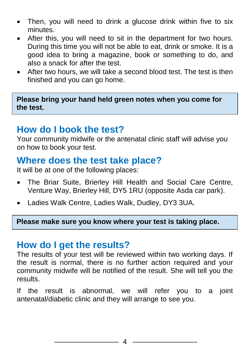- Then, you will need to drink a glucose drink within five to six minutes.
- After this, you will need to sit in the department for two hours. During this time you will not be able to eat, drink or smoke. It is a good idea to bring a magazine, book or something to do, and also a snack for after the test.
- After two hours, we will take a second blood test. The test is then finished and you can go home.

**Please bring your hand held green notes when you come for the test.**

#### **How do I book the test?**

Your community midwife or the antenatal clinic staff will advise you on how to book your test.

#### **Where does the test take place?**

It will be at one of the following places:

- The Briar Suite, Brierley Hill Health and Social Care Centre, Venture Way, Brierley Hill, DY5 1RU (opposite Asda car park).
- Ladies Walk Centre, Ladies Walk, Dudley, DY3 3UA.

**Please make sure you know where your test is taking place.**

#### **How do I get the results?**

The results of your test will be reviewed within two working days. If the result is normal, there is no further action required and your community midwife will be notified of the result. She will tell you the results.

If the result is abnormal, we will refer you to a joint antenatal/diabetic clinic and they will arrange to see you.

4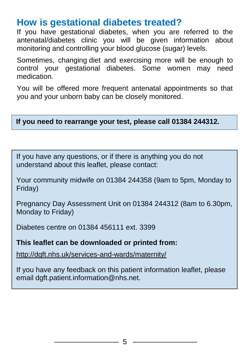#### **How is gestational diabetes treated?**

If you have gestational diabetes, when you are referred to the antenatal/diabetes clinic you will be given information about monitoring and controlling your blood glucose (sugar) levels.

Sometimes, changing diet and exercising more will be enough to control your gestational diabetes. Some women may need medication.

You will be offered more frequent antenatal appointments so that you and your unborn baby can be closely monitored.

#### **If you need to rearrange your test, please call 01384 244312.**

If you have any questions, or if there is anything you do not understand about this leaflet, please contact:

Your community midwife on 01384 244358 (9am to 5pm, Monday to Friday)

Pregnancy Day Assessment Unit on 01384 244312 (8am to 6.30pm, Monday to Friday)

Diabetes centre on 01384 456111 ext. 3399

#### **This leaflet can be downloaded or printed from:**

<http://dgft.nhs.uk/services-and-wards/maternity/>

If you have any feedback on this patient information leaflet, please email dgft.patient.information@nhs.net.